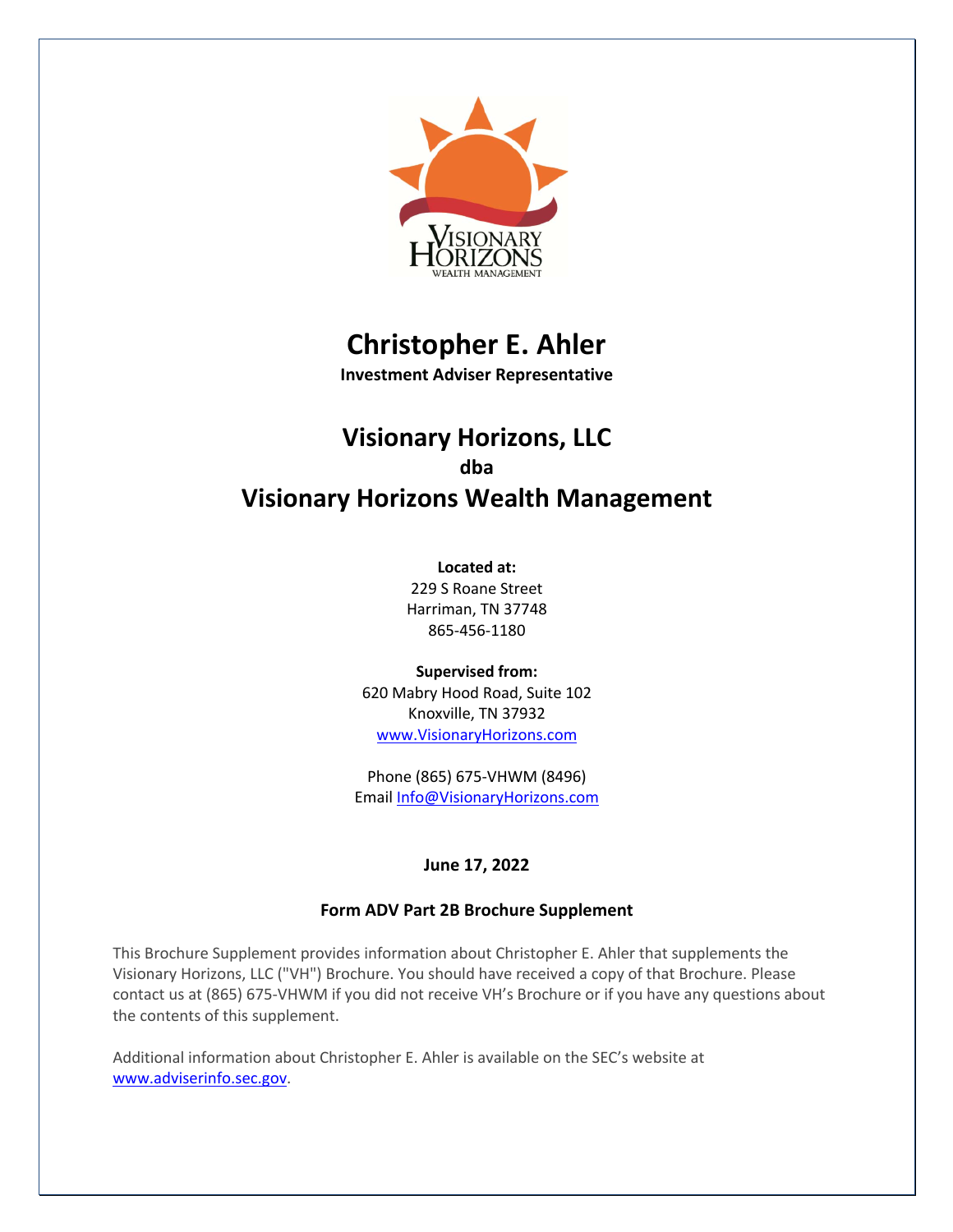

# **Christopher E. Ahler**

**Investment Adviser Representative**

## **Visionary Horizons, LLC dba Visionary Horizons Wealth Management**

#### **Located at:**

229 S Roane Street Harriman, TN 37748 865-456-1180

**Supervised from:** 620 Mabry Hood Road, Suite 102 Knoxville, TN 37932 www.VisionaryHorizons.com

Phone (865) 675-VHWM (8496) Email Info@VisionaryHorizons.com

## **June 17, 2022**

## **Form ADV Part 2B Brochure Supplement**

This Brochure Supplement provides information about Christopher E. Ahler that supplements the Visionary Horizons, LLC ("VH") Brochure. You should have received a copy of that Brochure. Please contact us at (865) 675-VHWM if you did not receive VH's Brochure or if you have any questions about the contents of this supplement.

Additional information about Christopher E. Ahler is available on the SEC's website at www.adviserinfo.sec.gov.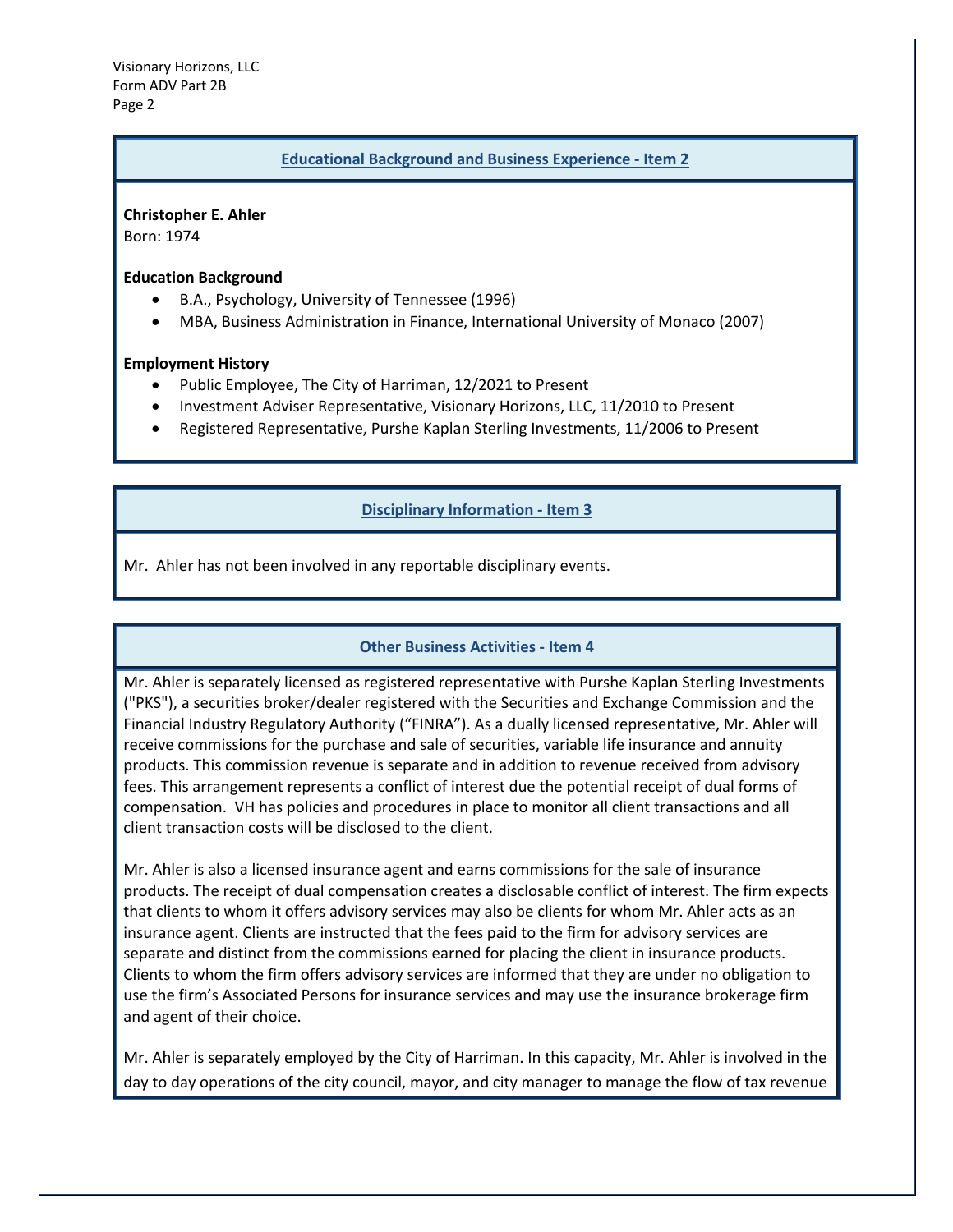Visionary Horizons, LLC Form ADV Part 2B Page 2

#### **Educational Background and Business Experience - Item 2**

**Christopher E. Ahler**

Born: 1974

**Education Background**

- B.A., Psychology, University of Tennessee (1996)
- MBA, Business Administration in Finance, International University of Monaco (2007)

#### **Employment History**

- Public Employee, The City of Harriman, 12/2021 to Present
- Investment Adviser Representative, Visionary Horizons, LLC, 11/2010 to Present
- Registered Representative, Purshe Kaplan Sterling Investments, 11/2006 to Present

#### **Disciplinary Information - Item 3**

Mr. Ahler has not been involved in any reportable disciplinary events.

#### **Other Business Activities - Item 4**

Mr. Ahler is separately licensed as registered representative with Purshe Kaplan Sterling Investments ("PKS"), a securities broker/dealer registered with the Securities and Exchange Commission and the Financial Industry Regulatory Authority ("FINRA"). As a dually licensed representative, Mr. Ahler will receive commissions for the purchase and sale of securities, variable life insurance and annuity products. This commission revenue is separate and in addition to revenue received from advisory fees. This arrangement represents a conflict of interest due the potential receipt of dual forms of compensation. VH has policies and procedures in place to monitor all client transactions and all client transaction costs will be disclosed to the client.

Mr. Ahler is also a licensed insurance agent and earns commissions for the sale of insurance products. The receipt of dual compensation creates a disclosable conflict of interest. The firm expects that clients to whom it offers advisory services may also be clients for whom Mr. Ahler acts as an insurance agent. Clients are instructed that the fees paid to the firm for advisory services are separate and distinct from the commissions earned for placing the client in insurance products. Clients to whom the firm offers advisory services are informed that they are under no obligation to use the firm's Associated Persons for insurance services and may use the insurance brokerage firm and agent of their choice.

Mr. Ahler is separately employed by the City of Harriman. In this capacity, Mr. Ahler is involved in the day to day operations of the city council, mayor, and city manager to manage the flow of tax revenue